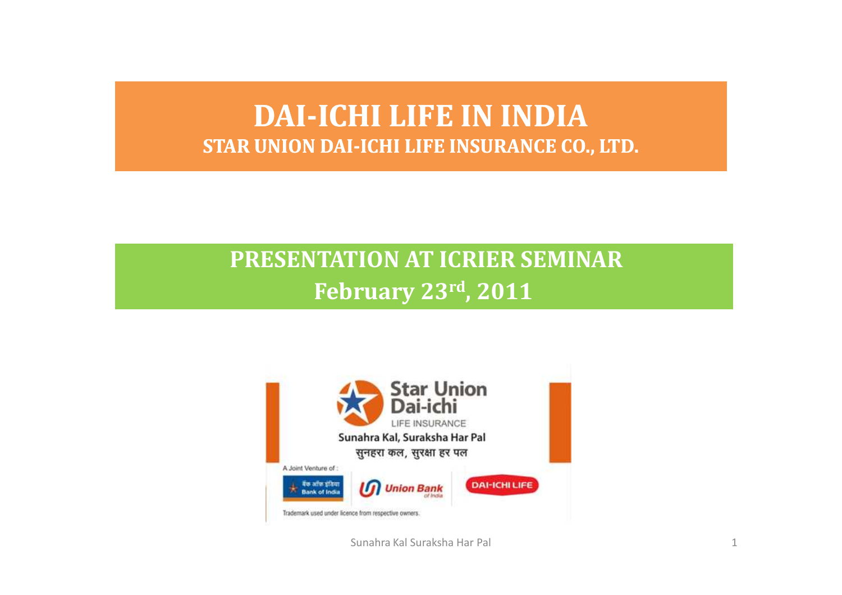#### DAI-ICHI LIFE IN INDIA<br>IINION DALICHI LIEE INGIDANCE CO STAR UNION DAI-ICHI LIFE INSURANCE CO., LTD.

#### PRESENTATION AT ICRIER SEMINARFebruary 23rd, 2011



Sunahra Kal Suraksha Har Pal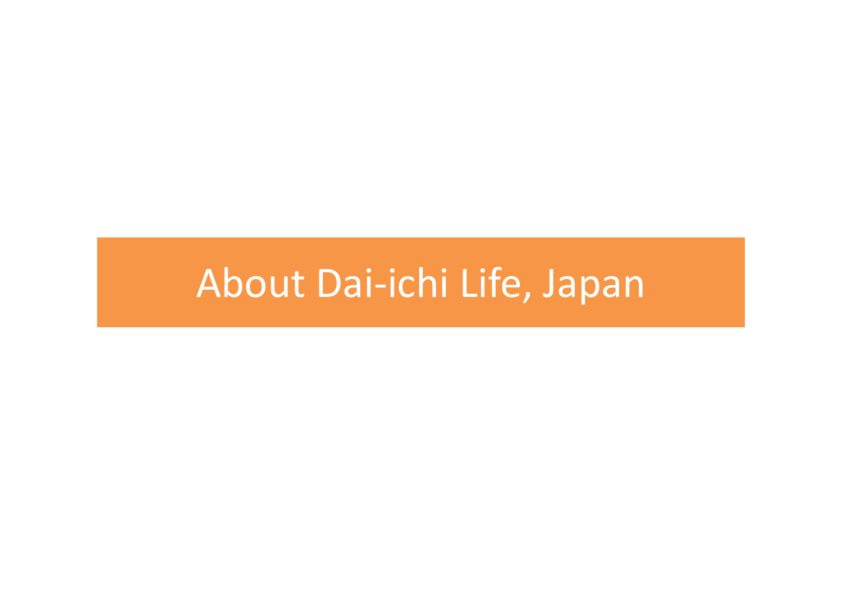### About Dai-ichi Life, Japan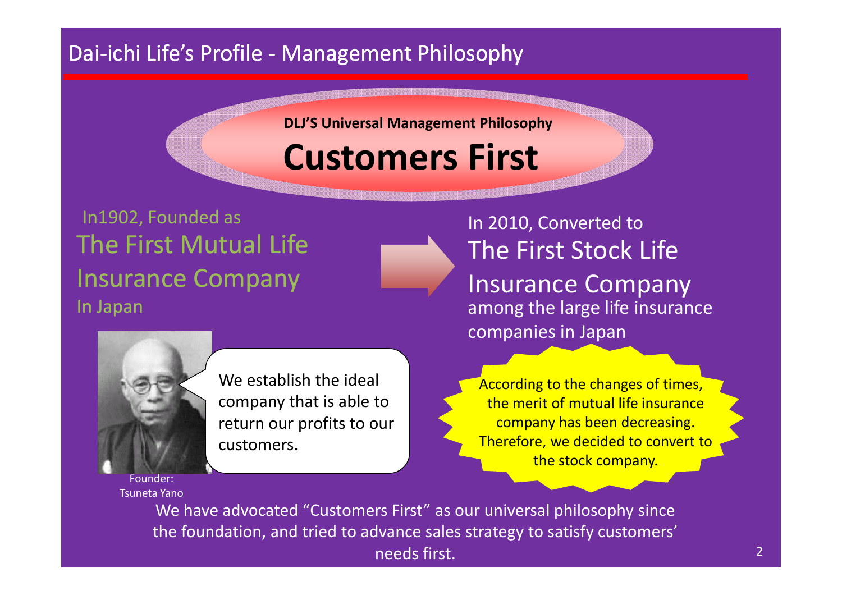#### Dai-ichi Life's Profile - Management Philosophy

DLJ'S Universal Management Philosophy

### Customers First

#### The First Mutual Life Insurance CompanyIn JapanIn1902, Founded as





We establish the ideal company that is able to return our profits to our customers.

In 2010, Converted to The First Stock Life Insurance Company among the large life insurance companies in Japan

According to the changes of times, the merit of mutual life insurance company has been decreasing. Therefore, we decided to convert to the stock company.

Founder:Tsuneta Yano

> We have advocated "Customers First" as our universal philosophy since the foundation, and tried to advance sales strategy to satisfy customers' needs first.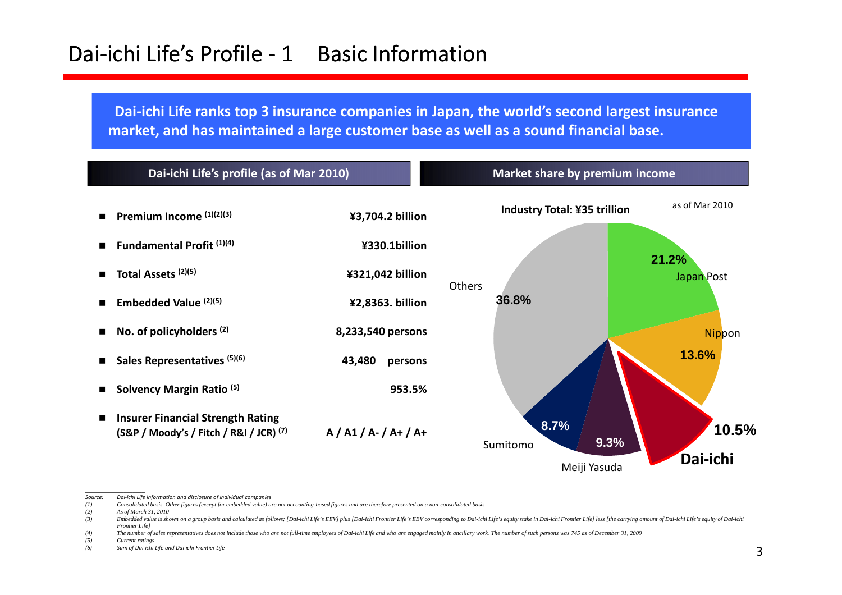#### Dai-ichi Life's Profile - 1 Basic Information

Dai-ichi Life ranks top 3 insurance companies in Japan, the world's second largest insurance market, and has maintained a large customer base as well as a sound financial base.



\_\_\_\_\_\_\_\_\_\_\_\_\_\_\_\_\_\_\_\_ Source: Dai-ichi Life information and disclosure of individual companies

*<sup>(1)</sup> Consolidated basis. Other figures (except for embedded value) are not accounting-based figures and are therefore presented on a non-consolidated basis*

*<sup>(2)</sup> As of March 31, 2010*

<sup>(3)</sup> Embedded value is shown on a group basis and calculated as follows; [Dai-ichi Life's EEV] plus [Dai-ichi Frontier Life's EEV corresponding to Dai-ichi Life's equity stake in Dai-ichi Frontier Life] less [the carrying a *Frontier Life]*

<sup>(4)</sup> The number of sales representatives does not include those who are not full-time employees of Dai-ichi Life and who are engaged mainly in ancillary work. The number of such persons was 745 as of December 31, 2009

*<sup>(5)</sup> Current ratings*(6) Sum of Dai-ichi Life and Dai-ichi Frontier Life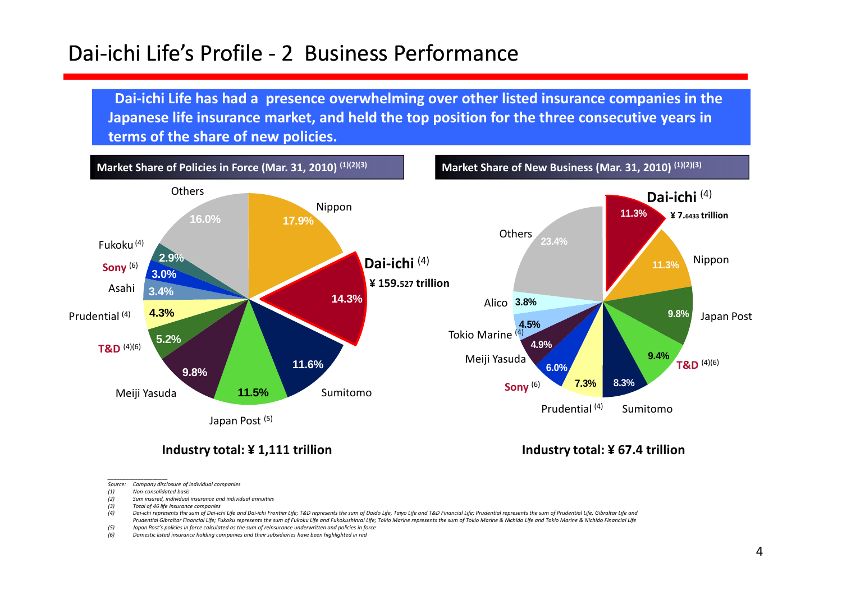#### Dai-ichi Life's Profile - <sup>2</sup> Business Performance

Dai-ichi Life has had a presence overwhelming over other listed insurance companies in the Japanese life insurance market, and held the top position for the three consecutive years in terms of the share of new policies.



#### Industry total: ¥ 1,111 trillion

- \_\_\_\_\_\_\_\_\_\_\_\_\_\_\_\_\_\_\_\_ Source: Company disclosure of individual companies
- (1) Non-consolidated basis
- (2) Sum insured, individual insurance and individual annuities
- (3) Total of 46 life insurance companies<br>(4) Dai-ichi represents the sum of Dai-ici

- (5) Japan Post's policies in force calculated as the sum of reinsurance underwritten and policies in force<br>(6) Domestic listed insurance holding companies and their subsidiaries have been highlighted in red
- Domestic listed insurance holding companies and their subsidiaries have been highlighted in red

Industry total: ¥ 67.4 trillion

Dai-ichi represents the sum of Dai-ichi Life and Dai-ichi Frontier Life; T&D represents the sum of Daido Life, Taiyo Life and T&D Financial Life; Prudential represents the sum of Prudential Life, Gibraltar Life and Prudential Gibraltar Financial Life; Fukoku represents the sum of Fukoku Life and Fukokushinrai Life; Tokio Marine represents the sum of Tokio Marine & Nichido Life and Tokio Marine & Nichido Financial Life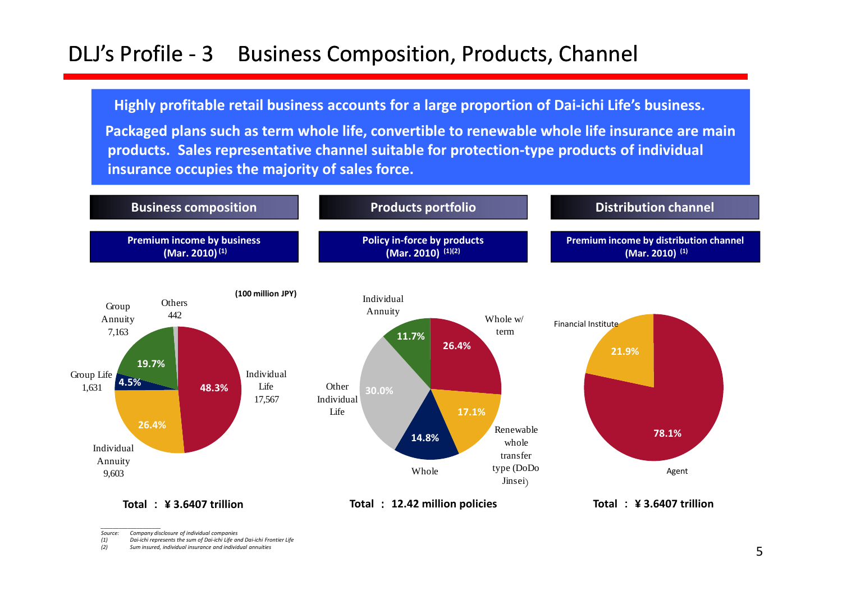### DLJ's Profile - 3 Business Composition, Products, Channel

Highly profitable retail business accounts for a large proportion of Dai-ichi Life's business.

Packaged plans such as term whole life, convertible to renewable whole life insurance are main products. Sales representative channel suitable for protection-type products of individual insurance occupies the majority of sales force.



\_\_\_\_\_\_\_\_\_\_\_\_\_\_\_\_\_\_\_\_ Source: Company disclosure of individual companies

5

(1) Dai-ichi represents the sum of Dai-ichi Life and Dai-ichi Frontier Life (2) Sum insured, individual insurance and individual annuities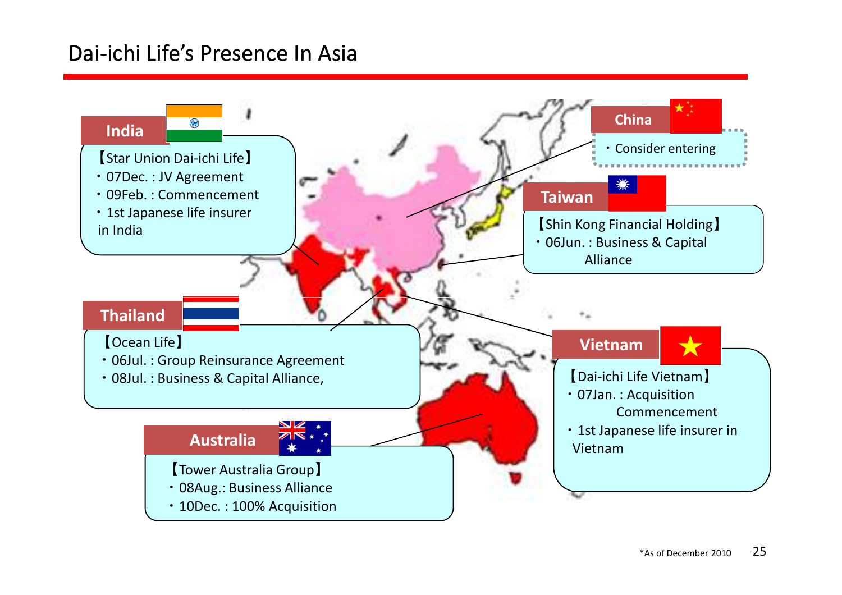#### Dai-ichi Life's Presence In Asia

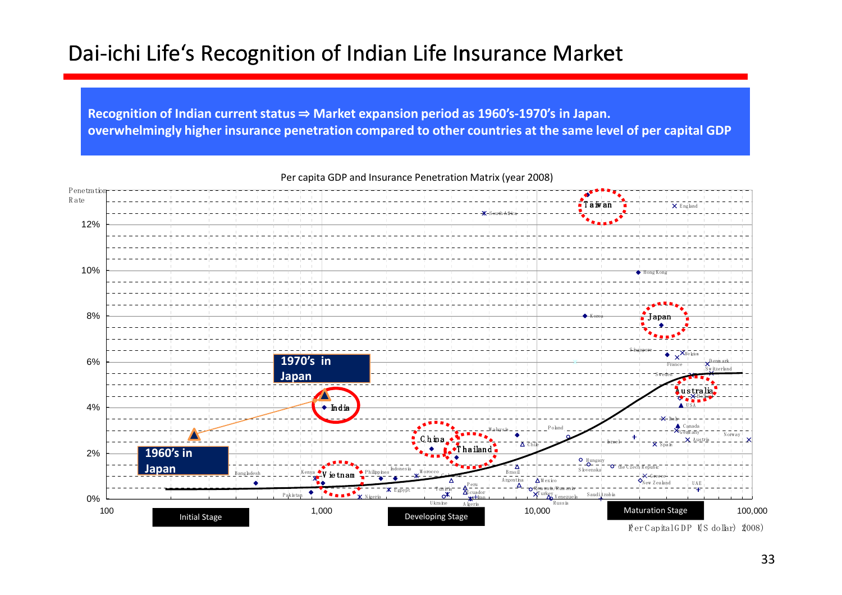#### Dai-ichi Life's Recognition of Indian Life Insurance Market

Recognition of Indian current status ⇒ Market expansion period as 1960's-1970's in Japan.<br>everwhelmingly bigher insurance nonotration compared to other countries at the same lev overwhelmingly higher insurance penetration compared to other countries at the same level of per capital GDP



Per capita GDP and Insurance Penetration Matrix (year 2008)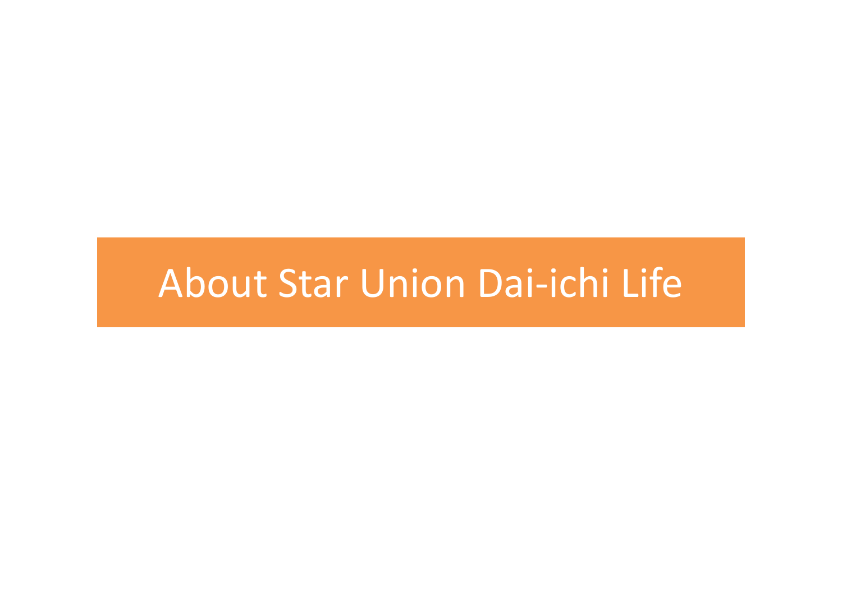### About Star Union Dai-ichi Life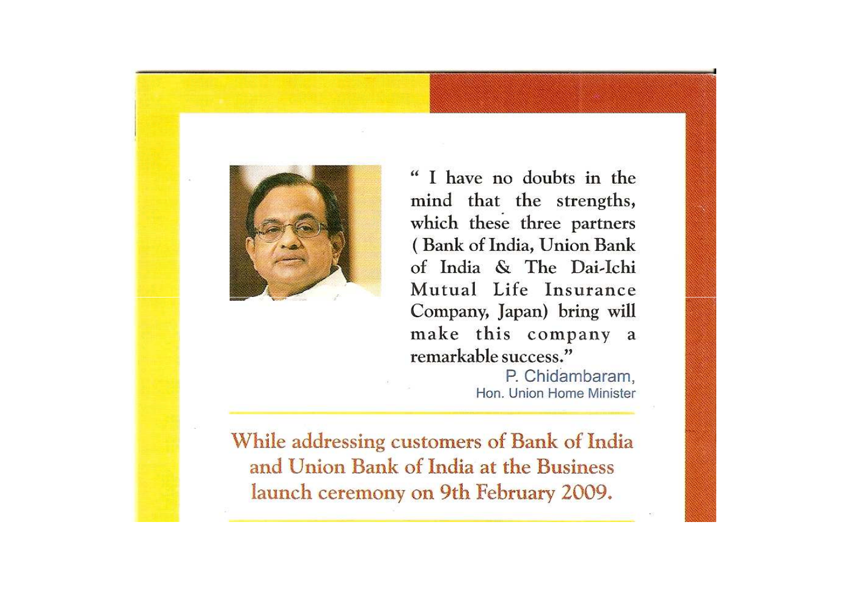

" I have no doubts in the mind that the strengths, which these three partners (Bank of India, Union Bank of India & The Dai-Ichi Mutual Life Insurance Company, Japan) bring will make this company a remarkable success."

P. Chidambaram, Hon. Union Home Minister

While addressing customers of Bank of India and Union Bank of India at the Business launch ceremony on 9th February 2009.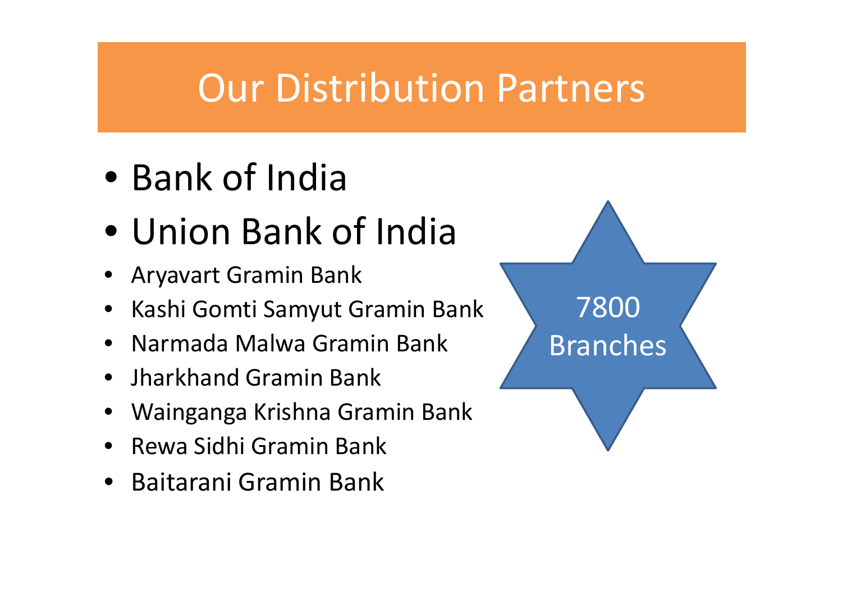### Our Distribution Partners

- Bank of India
- Union Bank of India
- Aryavart Gramin Bank
- •Kashi Gomti Samyut Gramin Bank <sup>7800</sup>
- •Narmada Malwa Gramin Bank
- Jharkhand Gramin Bank
- •Wainganga Krishna Gramin Bank
- Rewa Sidhi Gramin Bank
- Baitarani Gramin Bank

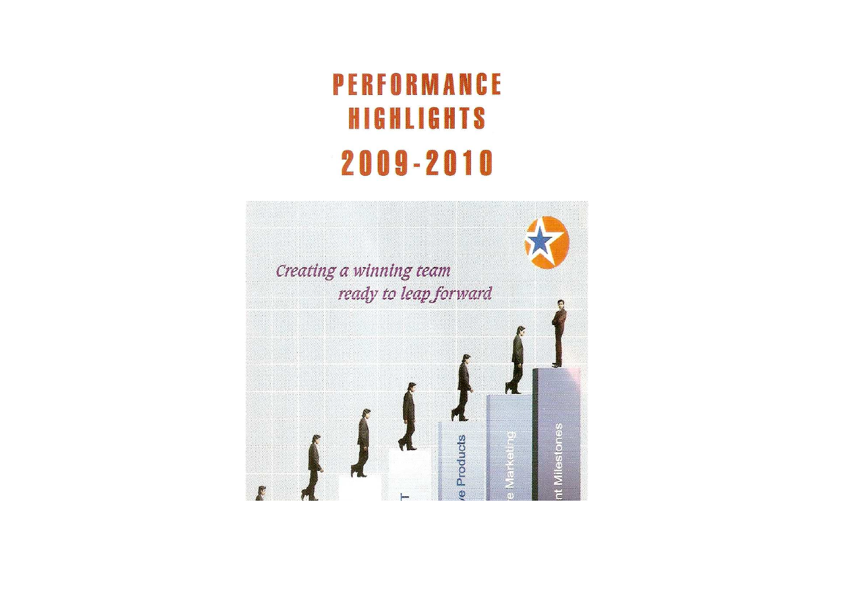### PERFORMANCE **HIGHLIGHTS** 2009-2010

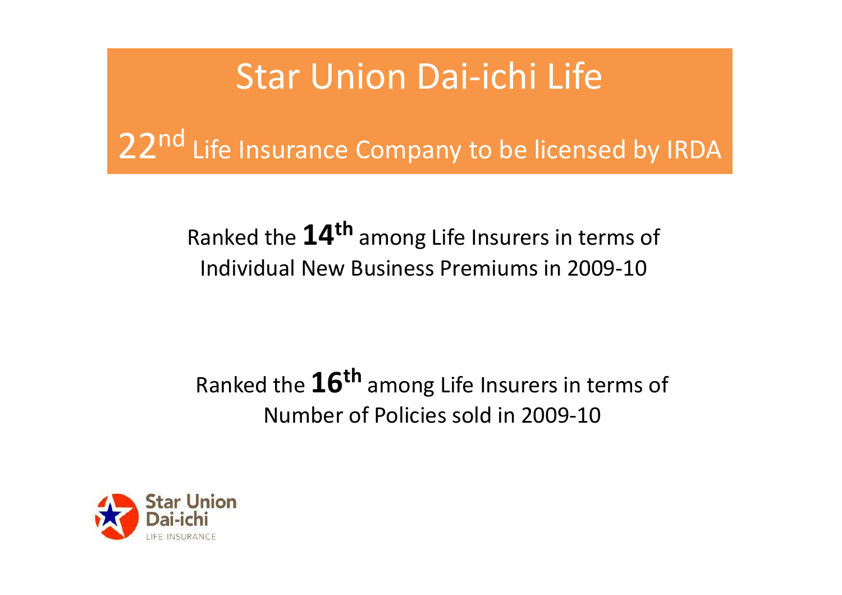### Star Union Dai-ichi Life

22<sup>nd</sup> Life Insurance Company to be licensed by IRDA

### Ranked the  ${\bf 14^{\text{th}}}$  among Life Insurers in terms of Individual New Business Premiums in 2009-10

### Ranked the  ${\bf 16^{\text{th}}}$  among Life Insurers in terms of Number of Policies sold in 2009-10

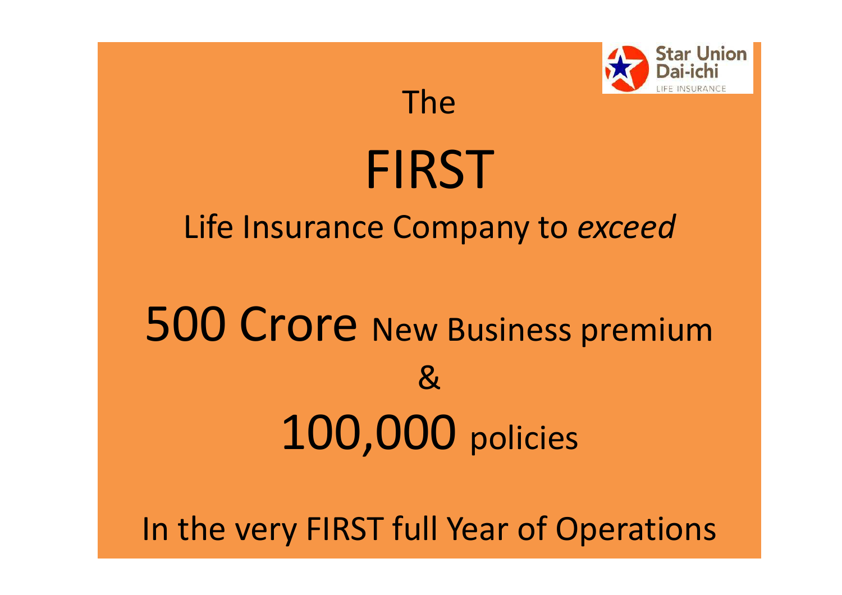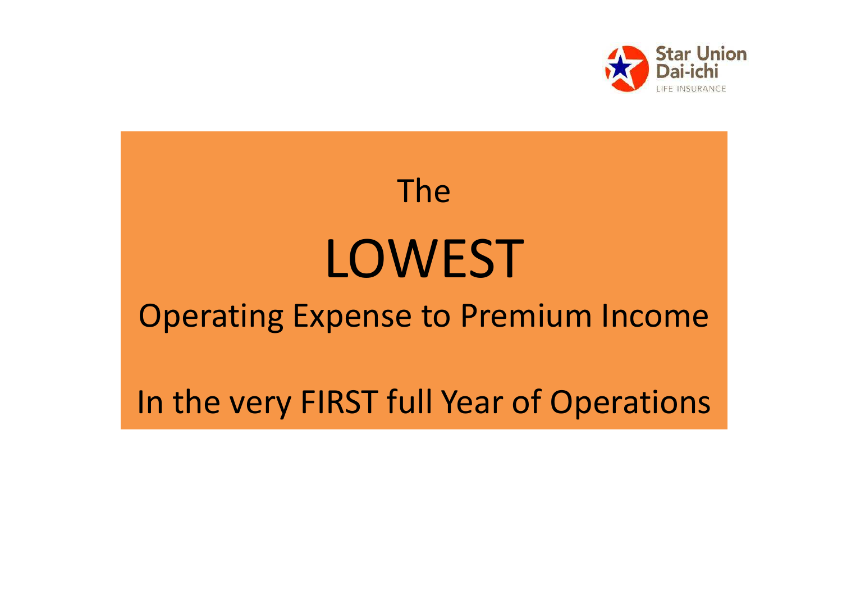

# TheLOWEST Operating Expense to Premium IncomeIn the very FIRST full Year of Operations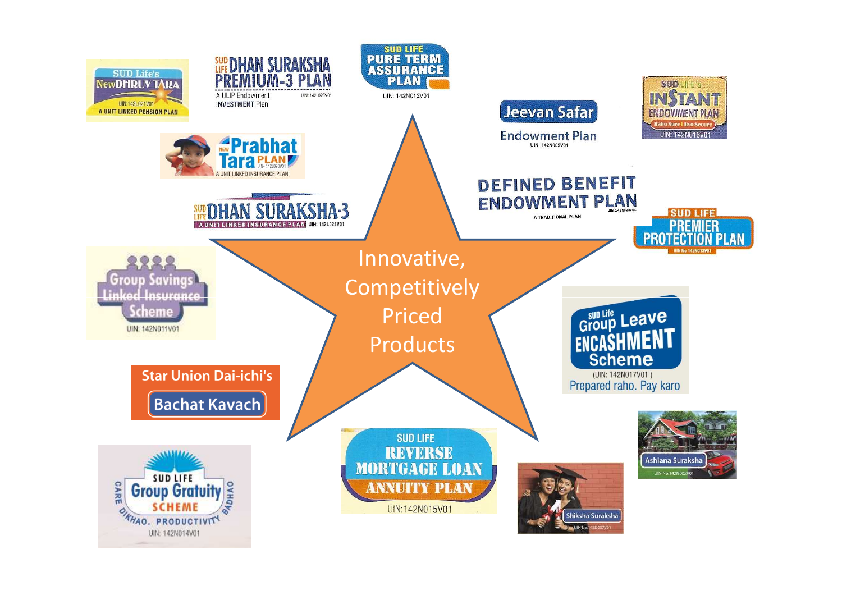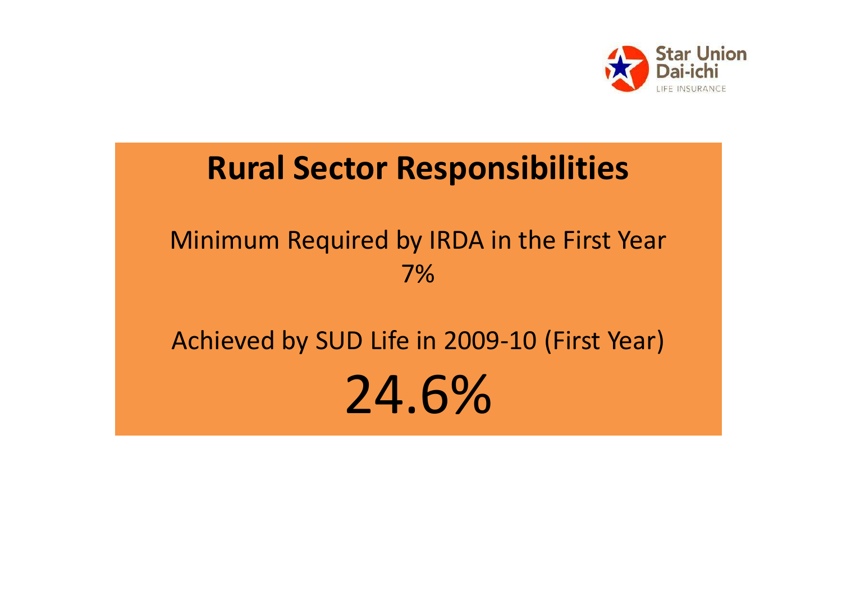

### Rural Sector Responsibilities

#### Minimum Required by IRDA in the First Year7%

## Achieved by SUD Life in 2009-10 (First Year)24.6%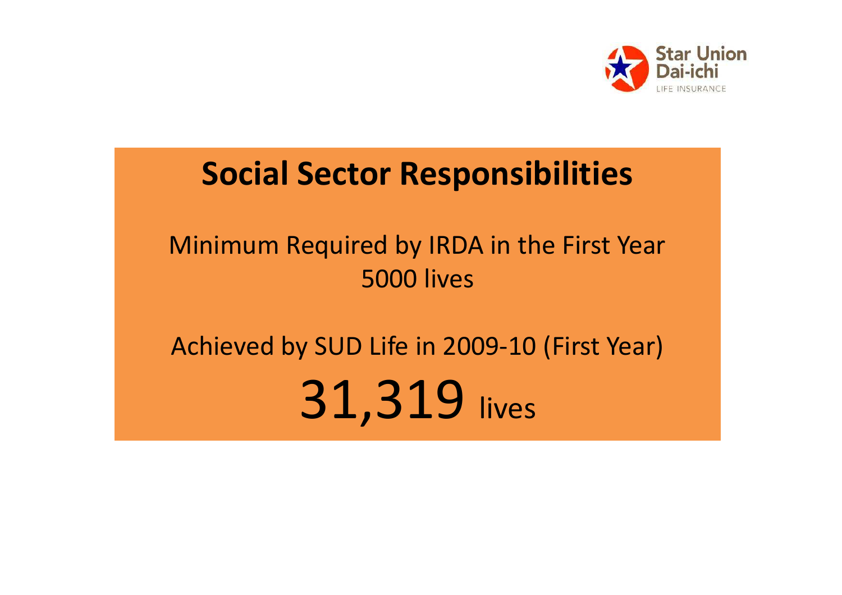

### Social Sector Responsibilities

### Minimum Required by IRDA in the First Year5000 lives

## Achieved by SUD Life in 2009-10 (First Year)31,319 lives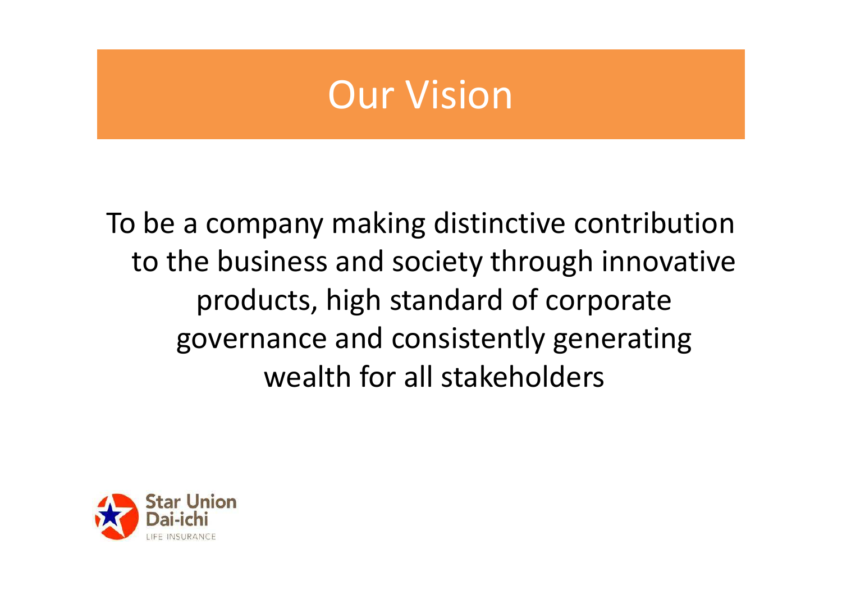### Our Vision

To be a company making distinctive contribution to the business and society through innovative products, high standard of corporate governance and consistently generating wealth for all stakeholders

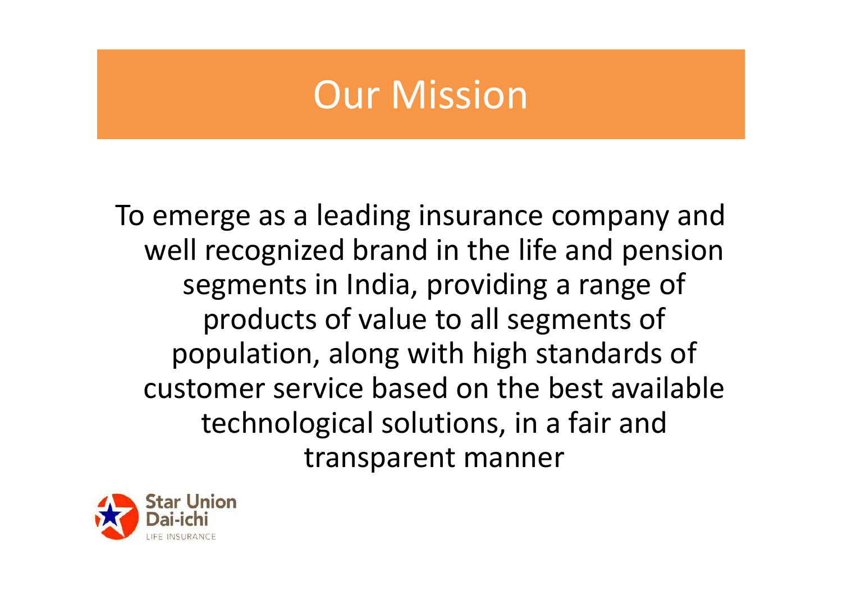### Our Mission

To emerge as a leading insurance company and well recognized brand in the life and pension segments in India, providing a range of products of value to all segments of population, along with high standards of customer service based on the best available technological solutions, in a fair and transparent manner

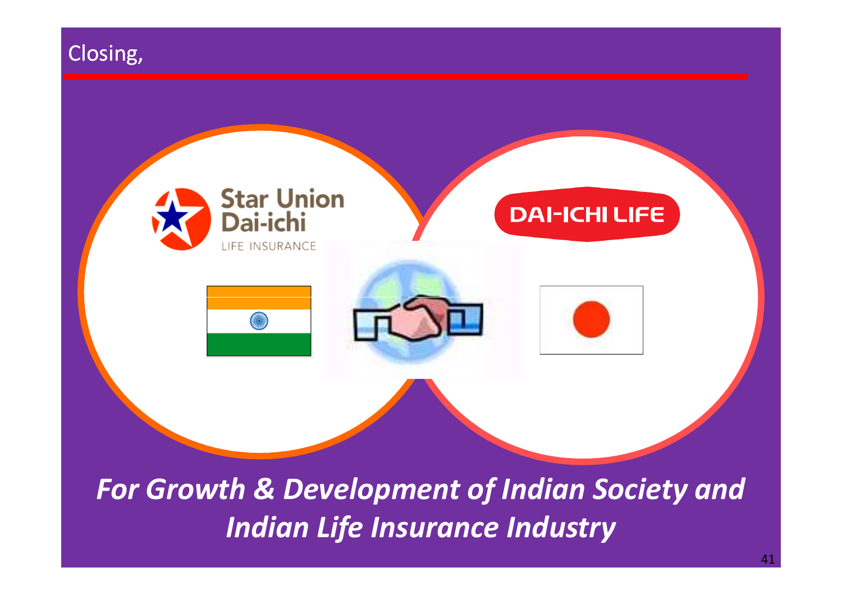

Indian Life Insurance Industry